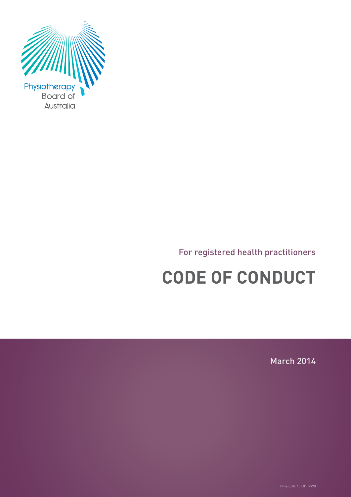

# For registered health practitioners

# **CODE OF CONDUCT**

March 2014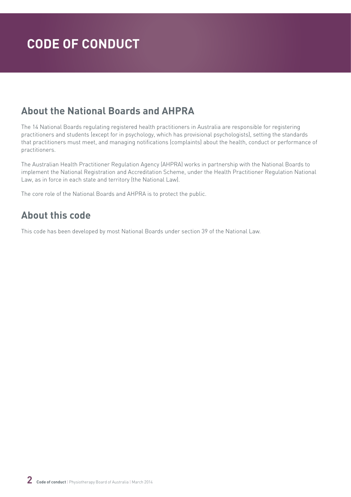# **About the National Boards and AHPRA**

The 14 National Boards regulating registered health practitioners in Australia are responsible for registering practitioners and students (except for in psychology, which has provisional psychologists), setting the standards that practitioners must meet, and managing notifications (complaints) about the health, conduct or performance of practitioners.

The Australian Health Practitioner Regulation Agency (AHPRA) works in partnership with the National Boards to implement the National Registration and Accreditation Scheme, under the Health Practitioner Regulation National Law, as in force in each state and territory (the National Law).

The core role of the National Boards and AHPRA is to protect the public.

# **About this code**

This code has been developed by most National Boards under section 39 of the National Law.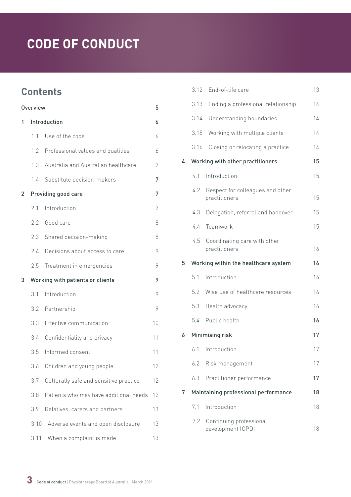# **Contents**

| Overview |      | 5                                      |    |
|----------|------|----------------------------------------|----|
| 1        |      | Introduction                           | 6  |
|          | 11   | Use of the code                        | 6  |
|          | 1.2  | Professional values and qualities      | 6  |
|          | 1.3  | Australia and Australian healthcare    | 7  |
|          | 1.4  | Substitute decision-makers             | 7  |
| 2        |      | Providing good care                    | 7  |
|          | 2.1  | Introduction                           | 7  |
|          | 2.2  | Good care                              | 8  |
|          | 2.3  | Shared decision-making                 | 8  |
|          | 2.4  | Decisions about access to care         | 9  |
|          | 2.5  | Treatment in emergencies               | 9  |
| 3        |      | Working with patients or clients       | 9  |
|          | 3.1  | Introduction                           | 9  |
|          | 3.2  | Partnership                            | 9  |
|          | 3.3  | Effective communication                | 10 |
|          | 3.4  | Confidentiality and privacy            | 11 |
|          | 3.5  | Informed consent                       | 11 |
|          | 3.6  | Children and young people              | 12 |
|          | 3.7  | Culturally safe and sensitive practice | 12 |
|          | 3.8  | Patients who may have additional needs | 12 |
|          | 3.9  | Relatives, carers and partners         | 13 |
|          | 3.10 | Adverse events and open disclosure     | 13 |
|          | 3.11 | When a complaint is made               | 13 |

|   |      | 3.12 End-of-life care                             | 13 |
|---|------|---------------------------------------------------|----|
|   | 3.13 | Ending a professional relationship                | 14 |
|   | 3.14 | Understanding boundaries                          | 14 |
|   | 3.15 | Working with multiple clients                     | 14 |
|   | 3.16 | Closing or relocating a practice                  | 14 |
| 4 |      | Working with other practitioners                  | 15 |
|   | 4.1  | Introduction                                      | 15 |
|   | 4.2  | Respect for colleagues and other<br>practitioners | 15 |
|   | 4.3  | Delegation, referral and handover                 | 15 |
|   | 4.4  | Teamwork                                          | 15 |
|   | 4.5  | Coordinating care with other<br>practitioners     | 16 |
|   |      |                                                   |    |
| 5 |      | Working within the healthcare system              | 16 |
|   | 5.1  | Introduction                                      | 16 |
|   | 5.2  | Wise use of healthcare resources                  | 16 |
|   | 5.3  | Health advocacy                                   | 16 |
|   |      | 5.4 Public health                                 | 16 |
| 6 |      | Minimising risk                                   | 17 |
|   |      | 6.1 Introduction                                  | 17 |
|   | 6.2  | Risk management                                   | 17 |
|   | 6.3  | Practitioner performance                          | 17 |
| 7 |      | Maintaining professional performance              | 18 |
|   | 7.1  | Introduction                                      | 18 |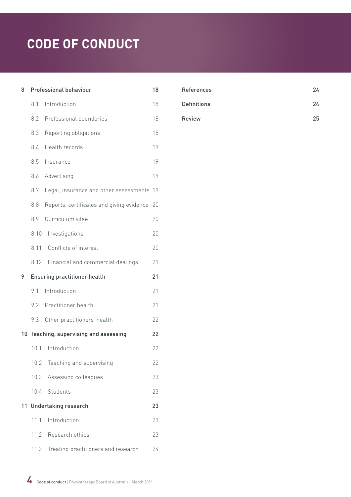| 8  |      | Professional behaviour                    | 18 |
|----|------|-------------------------------------------|----|
|    | 8.1  | Introduction                              | 18 |
|    | 8.2  | Professional boundaries                   | 18 |
|    | 8.3  | Reporting obligations                     | 18 |
|    | 8.4  | Health records                            | 19 |
|    | 8.5  | Insurance                                 | 19 |
|    | 8.6  | Advertising                               | 19 |
|    | 8.7  | Legal, insurance and other assessments    | 19 |
|    | 8.8  | Reports, certificates and giving evidence | 20 |
|    | 8.9  | Curriculum vitae                          | 20 |
|    | 8.10 | Investigations                            | 20 |
|    | 8.11 | Conflicts of interest                     | 20 |
|    | 8.12 | Financial and commercial dealings         | 21 |
|    |      |                                           |    |
|    |      | <b>Ensuring practitioner health</b>       | 21 |
| 9  | 9.1  | Introduction                              | 21 |
|    | 9.2  | Practitioner health                       | 21 |
|    | 9.3  | Other practitioners' health               | 22 |
|    |      | 10 Teaching, supervising and assessing    | 22 |
|    | 10.1 | Introduction                              | 22 |
|    | 10.2 | Teaching and supervising                  | 22 |
|    | 10.3 | Assessing colleagues                      | 23 |
|    | 10.4 | Students                                  | 23 |
| 11 |      | <b>Undertaking research</b>               | 23 |
|    | 11.1 | Introduction                              | 23 |
|    |      | 11.2 Research ethics                      | 23 |

| <b>References</b>  | 24 |
|--------------------|----|
| <b>Definitions</b> | 24 |
| <b>Review</b>      | 25 |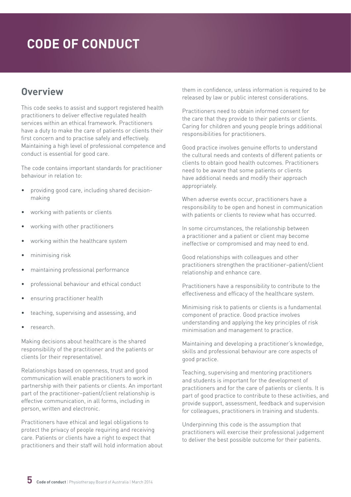# <span id="page-4-0"></span>**Overview**

This code seeks to assist and support registered health practitioners to deliver effective regulated health services within an ethical framework. Practitioners have a duty to make the care of patients or clients their first concern and to practise safely and effectively. Maintaining a high level of professional competence and conduct is essential for good care.

The code contains important standards for practitioner behaviour in relation to:

- providing good care, including shared decisionmaking
- working with patients or clients
- working with other practitioners
- working within the healthcare system
- minimising risk
- maintaining professional performance
- professional behaviour and ethical conduct
- ensuring practitioner health
- teaching, supervising and assessing, and
- research.

Making decisions about healthcare is the shared responsibility of the practitioner and the patients or clients (or their representative).

Relationships based on openness, trust and good communication will enable practitioners to work in partnership with their patients or clients. An important part of the practitioner–patient/client relationship is effective communication, in all forms, including in person, written and electronic.

Practitioners have ethical and legal obligations to protect the privacy of people requiring and receiving care. Patients or clients have a right to expect that practitioners and their staff will hold information about

them in confidence, unless information is required to be released by law or public interest considerations.

Practitioners need to obtain informed consent for the care that they provide to their patients or clients. Caring for children and young people brings additional responsibilities for practitioners.

Good practice involves genuine efforts to understand the cultural needs and contexts of different patients or clients to obtain good health outcomes. Practitioners need to be aware that some patients or clients have additional needs and modify their approach appropriately.

When adverse events occur, practitioners have a responsibility to be open and honest in communication with patients or clients to review what has occurred.

In some circumstances, the relationship between a practitioner and a patient or client may become ineffective or compromised and may need to end.

Good relationships with colleagues and other practitioners strengthen the practitioner–patient/client relationship and enhance care.

Practitioners have a responsibility to contribute to the effectiveness and efficacy of the healthcare system.

Minimising risk to patients or clients is a fundamental component of practice. Good practice involves understanding and applying the key principles of risk minimisation and management to practice.

Maintaining and developing a practitioner's knowledge, skills and professional behaviour are core aspects of good practice.

Teaching, supervising and mentoring practitioners and students is important for the development of practitioners and for the care of patients or clients. It is part of good practice to contribute to these activities, and provide support, assessment, feedback and supervision for colleagues, practitioners in training and students.

Underpinning this code is the assumption that practitioners will exercise their professional judgement to deliver the best possible outcome for their patients.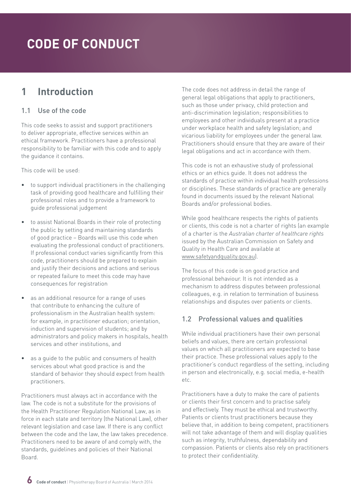# <span id="page-5-0"></span>**1 Introduction**

#### 1.1 Use of the code

This code seeks to assist and support practitioners to deliver appropriate, effective services within an ethical framework. Practitioners have a professional responsibility to be familiar with this code and to apply the guidance it contains.

This code will be used:

- to support individual practitioners in the challenging task of providing good healthcare and fulfilling their professional roles and to provide a framework to guide professional judgement
- to assist National Boards in their role of protecting the public by setting and maintaining standards of good practice – Boards will use this code when evaluating the professional conduct of practitioners. If professional conduct varies significantly from this code, practitioners should be prepared to explain and justify their decisions and actions and serious or repeated failure to meet this code may have consequences for registration
- as an additional resource for a range of uses that contribute to enhancing the culture of professionalism in the Australian health system: for example, in practitioner education; orientation, induction and supervision of students; and by administrators and policy makers in hospitals, health services and other institutions, and
- as a quide to the public and consumers of health services about what good practice is and the standard of behavior they should expect from health practitioners.

Practitioners must always act in accordance with the law. The code is not a substitute for the provisions of the Health Practitioner Regulation National Law, as in force in each state and territory (the National Law), other relevant legislation and case law. If there is any conflict between the code and the law, the law takes precedence. Practitioners need to be aware of and comply with, the standards, guidelines and policies of their National Board.

The code does not address in detail the range of general legal obligations that apply to practitioners, such as those under privacy, child protection and anti-discrimination legislation; responsibilities to employees and other individuals present at a practice under workplace health and safety legislation; and vicarious liability for employees under the general law. Practitioners should ensure that they are aware of their legal obligations and act in accordance with them.

This code is not an exhaustive study of professional ethics or an ethics guide. It does not address the standards of practice within individual health professions or disciplines. These standards of practice are generally found in documents issued by the relevant National Boards and/or professional bodies.

While good healthcare respects the rights of patients or clients, this code is not a charter of rights (an example of a charter is the *Australian charter of healthcare rights* issued by the Australian Commission on Safety and Quality in Health Care and available at [www.safetyandquality.gov.au\)](http://www.safetyandquality.gov.au).

The focus of this code is on good practice and professional behaviour. It is not intended as a mechanism to address disputes between professional colleagues, e.g. in relation to termination of business relationships and disputes over patients or clients.

### 1.2 Professional values and qualities

While individual practitioners have their own personal beliefs and values, there are certain professional values on which all practitioners are expected to base their practice. These professional values apply to the practitioner's conduct regardless of the setting, including in person and electronically, e.g. social media, e-health etc.

Practitioners have a duty to make the care of patients or clients their first concern and to practise safely and effectively. They must be ethical and trustworthy. Patients or clients trust practitioners because they believe that, in addition to being competent, practitioners will not take advantage of them and will display qualities such as integrity, truthfulness, dependability and compassion. Patients or clients also rely on practitioners to protect their confidentiality.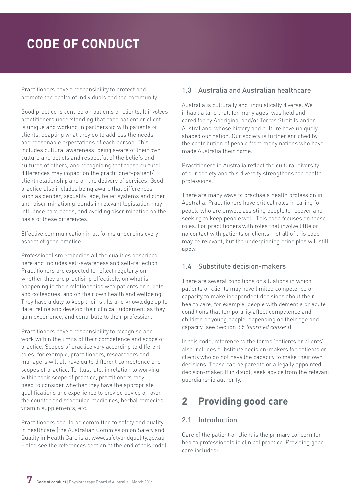<span id="page-6-0"></span>Practitioners have a responsibility to protect and promote the health of individuals and the community.

Good practice is centred on patients or clients. It involves practitioners understanding that each patient or client is unique and working in partnership with patients or clients, adapting what they do to address the needs and reasonable expectations of each person. This includes cultural awareness: being aware of their own culture and beliefs and respectful of the beliefs and cultures of others, and recognising that these cultural differences may impact on the practitioner–patient/ client relationship and on the delivery of services. Good practice also includes being aware that differences such as gender, sexuality, age, belief systems and other anti-discrimination grounds in relevant legislation may influence care needs, and avoiding discrimination on the basis of these differences.

Effective communication in all forms underpins every aspect of good practice.

Professionalism embodies all the qualities described here and includes self-awareness and self-reflection. Practitioners are expected to reflect regularly on whether they are practising effectively, on what is happening in their relationships with patients or clients and colleagues, and on their own health and wellbeing. They have a duty to keep their skills and knowledge up to date, refine and develop their clinical judgement as they gain experience, and contribute to their profession.

Practitioners have a responsibility to recognise and work within the limits of their competence and scope of practice. Scopes of practice vary according to different roles; for example, practitioners, researchers and managers will all have quite different competence and scopes of practice. To illustrate, in relation to working within their scope of practice, practitioners may need to consider whether they have the appropriate qualifications and experience to provide advice on over the counter and scheduled medicines, herbal remedies, vitamin supplements, etc.

Practitioners should be committed to safety and quality in healthcare (the Australian Commission on Safety and Quality in Health Care is at [www.safetyandquality.gov.au](http://www.safetyandquality.gov.au) – also see the references section at the end of this code).

# 1.3 Australia and Australian healthcare

Australia is culturally and linguistically diverse. We inhabit a land that, for many ages, was held and cared for by Aboriginal and/or Torres Strait Islander Australians, whose history and culture have uniquely shaped our nation. Our society is further enriched by the contribution of people from many nations who have made Australia their home.

Practitioners in Australia reflect the cultural diversity of our society and this diversity strengthens the health professions.

There are many ways to practise a health profession in Australia. Practitioners have critical roles in caring for people who are unwell, assisting people to recover and seeking to keep people well. This code focuses on these roles. For practitioners with roles that involve little or no contact with patients or clients, not all of this code may be relevant, but the underpinning principles will still apply.

### 1.4 Substitute decision-makers

There are several conditions or situations in which patients or clients may have limited competence or capacity to make independent decisions about their health care; for example, people with dementia or acute conditions that temporarily affect competence and children or young people, depending on their age and capacity (see Section 3.5 *Informed consent*).

In this code, reference to the terms 'patients or clients' also includes substitute decision-makers for patients or clients who do not have the capacity to make their own decisions. These can be parents or a legally appointed decision-maker. If in doubt, seek advice from the relevant guardianship authority.

# **2 Providing good care**

# 2.1 Introduction

Care of the patient or client is the primary concern for health professionals in clinical practice. Providing good care includes: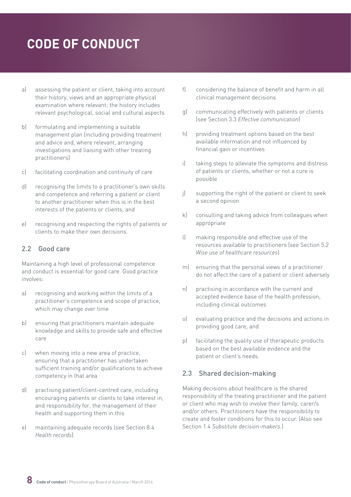- <span id="page-7-0"></span>a) assessing the patient or client, taking into account their history, views and an appropriate physical examination where relevant; the history includes relevant psychological, social and cultural aspects
- b) formulating and implementing a suitable management plan (including providing treatment and advice and, where relevant, arranging investigations and liaising with other treating practitioners)
- c) facilitating coordination and continuity of care
- d) recognising the limits to a practitioner's own skills and competence and referring a patient or client to another practitioner when this is in the best interests of the patients or clients, and
- e) recognising and respecting the rights of patients or clients to make their own decisions.

#### 2.2 Good care

Maintaining a high level of professional competence and conduct is essential for good care. Good practice involves:

- a) recognising and working within the limits of a practitioner's competence and scope of practice, which may change over time
- b) ensuring that practitioners maintain adequate knowledge and skills to provide safe and effective care
- c) when moving into a new area of practice, ensuring that a practitioner has undertaken sufficient training and/or qualifications to achieve competency in that area
- d) practising patient/client-centred care, including encouraging patients or clients to take interest in, and responsibility for, the management of their health and supporting them in this
- e) maintaining adequate records (see Section 8.4 *Health records*)
- f) considering the balance of benefit and harm in all clinical management decisions
- g) communicating effectively with patients or clients (see Section 3.3 *Effective communication*)
- h) providing treatment options based on the best available information and not influenced by financial gain or incentives
- i) taking steps to alleviate the symptoms and distress of patients or clients, whether or not a cure is possible
- j) supporting the right of the patient or client to seek a second opinion
- k) consulting and taking advice from colleagues when appropriate
- l) making responsible and effective use of the resources available to practitioners (see Section 5.2 *Wise use of healthcare resources*)
- m) ensuring that the personal views of a practitioner do not affect the care of a patient or client adversely
- n) practising in accordance with the current and accepted evidence base of the health profession, including clinical outcomes
- o) evaluating practice and the decisions and actions in providing good care, and
- p) facilitating the quality use of therapeutic products based on the best available evidence and the patient or client's needs.

### 2.3 Shared decision-making

Making decisions about healthcare is the shared responsibility of the treating practitioner and the patient or client who may wish to involve their family, carer/s and/or others. Practitioners have the responsibility to create and foster conditions for this to occur. (Also see Section 1.4 *Substitute decision-makers.*)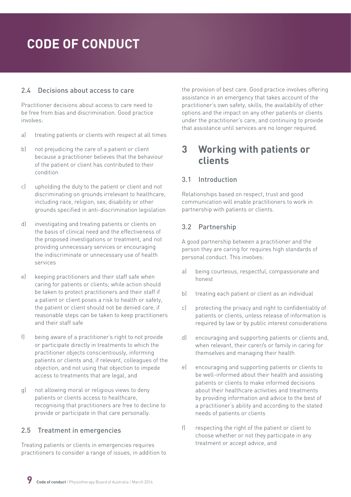### <span id="page-8-0"></span>2.4 Decisions about access to care

Practitioner decisions about access to care need to be free from bias and discrimination. Good practice involves:

- a) treating patients or clients with respect at all times
- b) not prejudicing the care of a patient or client because a practitioner believes that the behaviour of the patient or client has contributed to their condition
- c) upholding the duty to the patient or client and not discriminating on grounds irrelevant to healthcare, including race, religion, sex, disability or other grounds specified in anti-discrimination legislation
- d) investigating and treating patients or clients on the basis of clinical need and the effectiveness of the proposed investigations or treatment, and not providing unnecessary services or encouraging the indiscriminate or unnecessary use of health services
- e) keeping practitioners and their staff safe when caring for patients or clients; while action should be taken to protect practitioners and their staff if a patient or client poses a risk to health or safety, the patient or client should not be denied care, if reasonable steps can be taken to keep practitioners and their staff safe
- f) being aware of a practitioner's right to not provide or participate directly in treatments to which the practitioner objects conscientiously, informing patients or clients and, if relevant, colleagues of the objection, and not using that objection to impede access to treatments that are legal, and
- g) not allowing moral or religious views to deny patients or clients access to healthcare, recognising that practitioners are free to decline to provide or participate in that care personally.

# 2.5 Treatment in emergencies

Treating patients or clients in emergencies requires practitioners to consider a range of issues, in addition to the provision of best care. Good practice involves offering assistance in an emergency that takes account of the practitioner's own safety, skills, the availability of other options and the impact on any other patients or clients under the practitioner's care, and continuing to provide that assistance until services are no longer required.

# **3 Working with patients or clients**

# 3.1 Introduction

Relationships based on respect, trust and good communication will enable practitioners to work in partnership with patients or clients.

## 3.2 Partnership

A good partnership between a practitioner and the person they are caring for requires high standards of personal conduct. This involves:

- a) being courteous, respectful, compassionate and honest
- b) treating each patient or client as an individual
- c) protecting the privacy and right to confidentiality of patients or clients, unless release of information is required by law or by public interest considerations
- d) encouraging and supporting patients or clients and, when relevant, their carer/s or family in caring for themselves and managing their health
- e) encouraging and supporting patients or clients to be well-informed about their health and assisting patients or clients to make informed decisions about their healthcare activities and treatments by providing information and advice to the best of a practitioner's ability and according to the stated needs of patients or clients
- f) respecting the right of the patient or client to choose whether or not they participate in any treatment or accept advice, and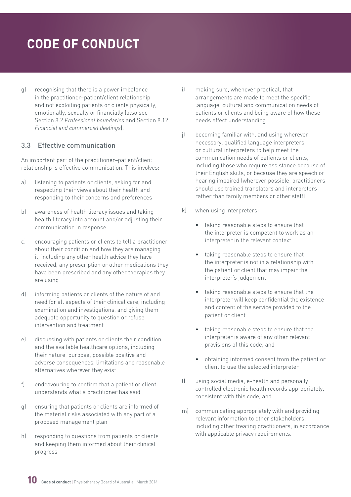<span id="page-9-0"></span>g) recognising that there is a power imbalance in the practitioner–patient/client relationship and not exploiting patients or clients physically, emotionally, sexually or financially (also see Section 8.2 *Professional boundaries* and Section 8.12 *Financial and commercial dealings*).

#### 3.3 Effective communication

An important part of the practitioner–patient/client relationship is effective communication. This involves:

- a) listening to patients or clients, asking for and respecting their views about their health and responding to their concerns and preferences
- b) awareness of health literacy issues and taking health literacy into account and/or adjusting their communication in response
- c) encouraging patients or clients to tell a practitioner about their condition and how they are managing it, including any other health advice they have received, any prescription or other medications they have been prescribed and any other therapies they are using
- d) informing patients or clients of the nature of and need for all aspects of their clinical care, including examination and investigations, and giving them adequate opportunity to question or refuse intervention and treatment
- e) discussing with patients or clients their condition and the available healthcare options, including their nature, purpose, possible positive and adverse consequences, limitations and reasonable alternatives wherever they exist
- f) endeavouring to confirm that a patient or client understands what a practitioner has said
- g) ensuring that patients or clients are informed of the material risks associated with any part of a proposed management plan
- h) responding to questions from patients or clients and keeping them informed about their clinical progress
- i) making sure, whenever practical, that arrangements are made to meet the specific language, cultural and communication needs of patients or clients and being aware of how these needs affect understanding
- j) becoming familiar with, and using wherever necessary, qualified language interpreters or cultural interpreters to help meet the communication needs of patients or clients, including those who require assistance because of their English skills, or because they are speech or hearing impaired (wherever possible, practitioners should use trained translators and interpreters rather than family members or other staff)
- k) when using interpreters:
	- taking reasonable steps to ensure that the interpreter is competent to work as an interpreter in the relevant context
	- taking reasonable steps to ensure that the interpreter is not in a relationship with the patient or client that may impair the interpreter's judgement
	- taking reasonable steps to ensure that the interpreter will keep confidential the existence and content of the service provided to the patient or client
	- taking reasonable steps to ensure that the interpreter is aware of any other relevant provisions of this code, and
	- obtaining informed consent from the patient or client to use the selected interpreter
- l) using social media, e-health and personally controlled electronic health records appropriately, consistent with this code, and
- m) communicating appropriately with and providing relevant information to other stakeholders, including other treating practitioners, in accordance with applicable privacy requirements.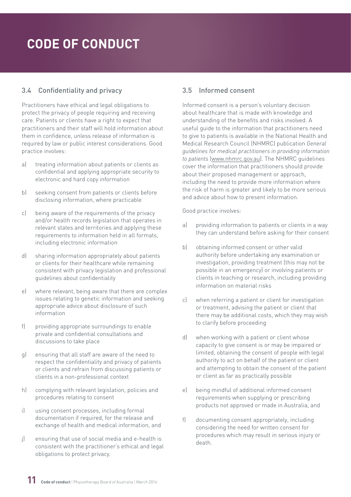# <span id="page-10-0"></span>3.4 Confidentiality and privacy

Practitioners have ethical and legal obligations to protect the privacy of people requiring and receiving care. Patients or clients have a right to expect that practitioners and their staff will hold information about them in confidence, unless release of information is required by law or public interest considerations. Good practice involves:

- a) treating information about patients or clients as confidential and applying appropriate security to electronic and hard copy information
- b) seeking consent from patients or clients before disclosing information, where practicable
- c) being aware of the requirements of the privacy and/or health records legislation that operates in relevant states and territories and applying these requirements to information held in all formats, including electronic information
- d) sharing information appropriately about patients or clients for their healthcare while remaining consistent with privacy legislation and professional guidelines about confidentiality
- e) where relevant, being aware that there are complex issues relating to genetic information and seeking appropriate advice about disclosure of such information
- f) providing appropriate surroundings to enable private and confidential consultations and discussions to take place
- g) ensuring that all staff are aware of the need to respect the confidentiality and privacy of patients or clients and refrain from discussing patients or clients in a non-professional context
- h) complying with relevant legislation, policies and procedures relating to consent
- i) using consent processes, including formal documentation if required, for the release and exchange of health and medical information, and
- j) ensuring that use of social media and e-health is consistent with the practitioner's ethical and legal obligations to protect privacy.

# 3.5 Informed consent

Informed consent is a person's voluntary decision about healthcare that is made with knowledge and understanding of the benefits and risks involved. A useful guide to the information that practitioners need to give to patients is available in the National Health and Medical Research Council (NHMRC) publication *General guidelines for medical practitioners in providing information to patients* ([www.nhmrc.gov.au](file:///C:\Users\helen\AppData\Local\Microsoft\Windows\Temporary Internet Files\Content.Outlook\LLROZHLU\Early and multiple versions\www.nhmrc.gov.au)). The NHMRC guidelines cover the information that practitioners should provide about their proposed management or approach, including the need to provide more information where the risk of harm is greater and likely to be more serious and advice about how to present information.

- a) providing information to patients or clients in a way they can understand before asking for their consent
- b) obtaining informed consent or other valid authority before undertaking any examination or investigation, providing treatment (this may not be possible in an emergency) or involving patients or clients in teaching or research, including providing information on material risks
- c) when referring a patient or client for investigation or treatment, advising the patient or client that there may be additional costs, which they may wish to clarify before proceeding
- d) when working with a patient or client whose capacity to give consent is or may be impaired or limited, obtaining the consent of people with legal authority to act on behalf of the patient or client and attempting to obtain the consent of the patient or client as far as practically possible
- e) being mindful of additional informed consent requirements when supplying or prescribing products not approved or made in Australia, and
- f) documenting consent appropriately, including considering the need for written consent for procedures which may result in serious injury or death.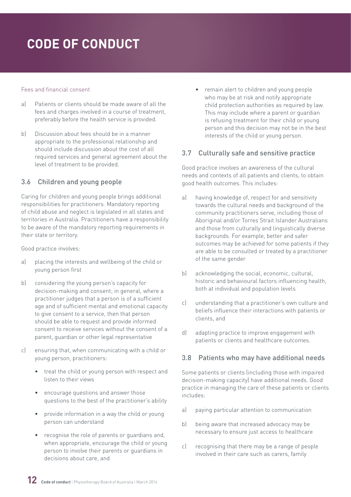#### <span id="page-11-0"></span>Fees and financial consent

- a) Patients or clients should be made aware of all the fees and charges involved in a course of treatment, preferably before the health service is provided.
- b) Discussion about fees should be in a manner appropriate to the professional relationship and should include discussion about the cost of all required services and general agreement about the level of treatment to be provided.

# 3.6 Children and young people

Caring for children and young people brings additional responsibilities for practitioners. Mandatory reporting of child abuse and neglect is legislated in all states and territories in Australia. Practitioners have a responsibility to be aware of the mandatory reporting requirements in their state or territory.

Good practice involves:

- a) placing the interests and wellbeing of the child or young person first
- b) considering the young person's capacity for decision-making and consent; in general, where a practitioner judges that a person is of a sufficient age and of sufficient mental and emotional capacity to give consent to a service, then that person should be able to request and provide informed consent to receive services without the consent of a parent, guardian or other legal representative
- c) ensuring that, when communicating with a child or young person, practitioners:
	- treat the child or young person with respect and listen to their views
	- encourage questions and answer those questions to the best of the practitioner's ability
	- provide information in a way the child or young person can understand
	- recognise the role of parents or guardians and, when appropriate, encourage the child or young person to involve their parents or guardians in decisions about care, and

• remain alert to children and young people who may be at risk and notify appropriate child protection authorities as required by law. This may include where a parent or guardian is refusing treatment for their child or young person and this decision may not be in the best interests of the child or young person.

### 3.7 Culturally safe and sensitive practice

Good practice involves an awareness of the cultural needs and contexts of all patients and clients, to obtain good health outcomes. This includes:

- a) having knowledge of, respect for and sensitivity towards the cultural needs and background of the community practitioners serve, including those of Aboriginal and/or Torres Strait Islander Australians and those from culturally and linguistically diverse backgrounds. For example, better and safer outcomes may be achieved for some patients if they are able to be consulted or treated by a practitioner of the same gender
- b) acknowledging the social, economic, cultural, historic and behavioural factors influencing health, both at individual and population levels
- c) understanding that a practitioner's own culture and beliefs influence their interactions with patients or clients, and
- d) adapting practice to improve engagement with patients or clients and healthcare outcomes.

# 3.8 Patients who may have additional needs

Some patients or clients (including those with impaired decision-making capacity) have additional needs. Good practice in managing the care of these patients or clients includes:

- a) paying particular attention to communication
- b) being aware that increased advocacy may be necessary to ensure just access to healthcare
- c) recognising that there may be a range of people involved in their care such as carers, family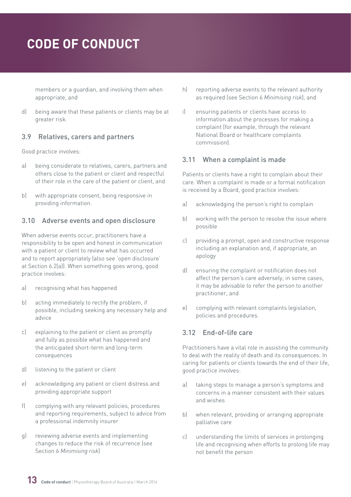<span id="page-12-0"></span>members or a guardian, and involving them when appropriate, and

d) being aware that these patients or clients may be at greater risk.

### 3.9 Relatives, carers and partners

Good practice involves:

- a) being considerate to relatives, carers, partners and others close to the patient or client and respectful of their role in the care of the patient or client, and
- b) with appropriate consent, being responsive in providing information.

### 3.10 Adverse events and open disclosure

When adverse events occur, practitioners have a responsibility to be open and honest in communication with a patient or client to review what has occurred and to report appropriately (also see 'open disclosure' at Section 6.2(a)). When something goes wrong, good practice involves:

- a) recognising what has happened
- b) acting immediately to rectify the problem, if possible, including seeking any necessary help and advice
- c) explaining to the patient or client as promptly and fully as possible what has happened and the anticipated short-term and long-term consequences
- d) listening to the patient or client
- e) acknowledging any patient or client distress and providing appropriate support
- f) complying with any relevant policies, procedures and reporting requirements, subject to advice from a professional indemnity insurer
- g) reviewing adverse events and implementing changes to reduce the risk of recurrence (see Section 6 *Minimising risk*)
- h) reporting adverse events to the relevant authority as required (see Section 6 *Minimising risk*), and
- i) ensuring patients or clients have access to information about the processes for making a complaint (for example, through the relevant National Board or healthcare complaints commission).

## 3.11 When a complaint is made

Patients or clients have a right to complain about their care. When a complaint is made or a formal notification is received by a Board, good practice involves:

- a) acknowledging the person's right to complain
- b) working with the person to resolve the issue where possible
- c) providing a prompt, open and constructive response including an explanation and, if appropriate, an apology
- d) ensuring the complaint or notification does not affect the person's care adversely; in some cases, it may be advisable to refer the person to another practitioner, and
- e) complying with relevant complaints legislation, policies and procedures.

# 3.12 End-of-life care

Practitioners have a vital role in assisting the community to deal with the reality of death and its consequences. In caring for patients or clients towards the end of their life, good practice involves:

- a) taking steps to manage a person's symptoms and concerns in a manner consistent with their values and wishes
- b) when relevant, providing or arranging appropriate palliative care
- c) understanding the limits of services in prolonging life and recognising when efforts to prolong life may not benefit the person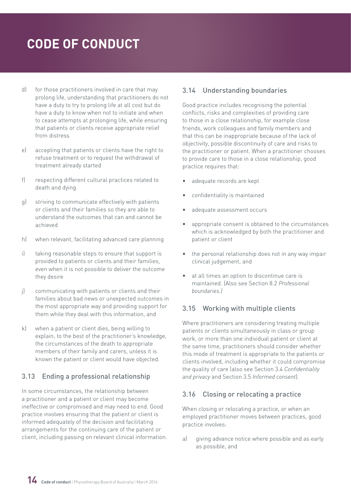- <span id="page-13-0"></span>d) for those practitioners involved in care that may prolong life, understanding that practitioners do not have a duty to try to prolong life at all cost but do have a duty to know when not to initiate and when to cease attempts at prolonging life, while ensuring that patients or clients receive appropriate relief from distress
- e) accepting that patients or clients have the right to refuse treatment or to request the withdrawal of treatment already started
- f) respecting different cultural practices related to death and dying
- g) striving to communicate effectively with patients or clients and their families so they are able to understand the outcomes that can and cannot be achieved
- h) when relevant, facilitating advanced care planning
- i) taking reasonable steps to ensure that support is provided to patients or clients and their families, even when it is not possible to deliver the outcome they desire
- j) communicating with patients or clients and their families about bad news or unexpected outcomes in the most appropriate way and providing support for them while they deal with this information, and
- k) when a patient or client dies, being willing to explain, to the best of the practitioner's knowledge, the circumstances of the death to appropriate members of their family and carers, unless it is known the patient or client would have objected.

# 3.13 Ending a professional relationship

In some circumstances, the relationship between a practitioner and a patient or client may become ineffective or compromised and may need to end. Good practice involves ensuring that the patient or client is informed adequately of the decision and facilitating arrangements for the continuing care of the patient or client, including passing on relevant clinical information.

# 3.14 Understanding boundaries

Good practice includes recognising the potential conflicts, risks and complexities of providing care to those in a close relationship, for example close friends, work colleagues and family members and that this can be inappropriate because of the lack of objectivity, possible discontinuity of care and risks to the practitioner or patient. When a practitioner chooses to provide care to those in a close relationship, good practice requires that:

- adequate records are kept
- confidentiality is maintained
- adequate assessment occurs
- appropriate consent is obtained to the circumstances which is acknowledged by both the practitioner and patient or client
- the personal relationship does not in any way impair clinical judgement, and
- at all times an option to discontinue care is maintained. (Also see Section 8.2 *Professional boundaries.)*

# 3.15 Working with multiple clients

Where practitioners are considering treating multiple patients or clients simultaneously in class or group work, or more than one individual patient or client at the same time, practitioners should consider whether this mode of treatment is appropriate to the patients or clients involved, including whether it could compromise the quality of care (also see Section 3.4 *Confidentiality and privacy* and Section 3.5 *Informed consent*).

### 3.16 Closing or relocating a practice

When closing or relocating a practice, or when an employed practitioner moves between practices, good practice involves:

a) giving advance notice where possible and as early as possible, and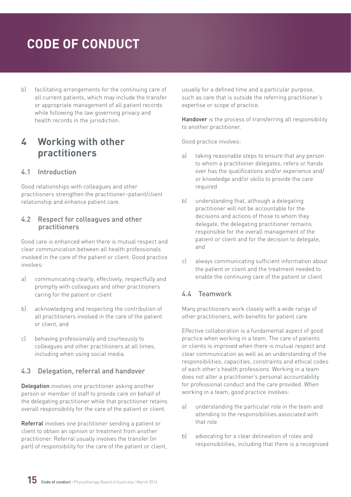<span id="page-14-0"></span>b) facilitating arrangements for the continuing care of all current patients, which may include the transfer or appropriate management of all patient records while following the law governing privacy and health records in the jurisdiction.

# **4 Working with other practitioners**

## 4.1 Introduction

Good relationships with colleagues and other practitioners strengthen the practitioner–patient/client relationship and enhance patient care.

#### 4.2 Respect for colleagues and other practitioners

Good care is enhanced when there is mutual respect and clear communication between all health professionals involved in the care of the patient or client. Good practice involves:

- a) communicating clearly, effectively, respectfully and promptly with colleagues and other practitioners caring for the patient or client
- b) acknowledging and respecting the contribution of all practitioners involved in the care of the patient or client, and
- c) behaving professionally and courteously to colleagues and other practitioners at all times, including when using social media.

### 4.3 Delegation, referral and handover

Delegation involves one practitioner asking another person or member of staff to provide care on behalf of the delegating practitioner while that practitioner retains overall responsibility for the care of the patient or client.

Referral involves one practitioner sending a patient or client to obtain an opinion or treatment from another practitioner. Referral usually involves the transfer (in part) of responsibility for the care of the patient or client, usually for a defined time and a particular purpose, such as care that is outside the referring practitioner's expertise or scope of practice.

Handover is the process of transferring all responsibility to another practitioner.

Good practice involves:

- a) taking reasonable steps to ensure that any person to whom a practitioner delegates, refers or hands over has the qualifications and/or experience and/ or knowledge and/or skills to provide the care required
- b) understanding that, although a delegating practitioner will not be accountable for the decisions and actions of those to whom they delegate, the delegating practitioner remains responsible for the overall management of the patient or client and for the decision to delegate, and
- c) always communicating sufficient information about the patient or client and the treatment needed to enable the continuing care of the patient or client.

### 4.4 Teamwork

Many practitioners work closely with a wide range of other practitioners, with benefits for patient care.

Effective collaboration is a fundamental aspect of good practice when working in a team. The care of patients or clients is improved when there is mutual respect and clear communication as well as an understanding of the responsibilities, capacities, constraints and ethical codes of each other's health professions. Working in a team does not alter a practitioner's personal accountability for professional conduct and the care provided. When working in a team, good practice involves:

- a) understanding the particular role in the team and attending to the responsibilities associated with that role
- b) advocating for a clear delineation of roles and responsibilities, including that there is a recognised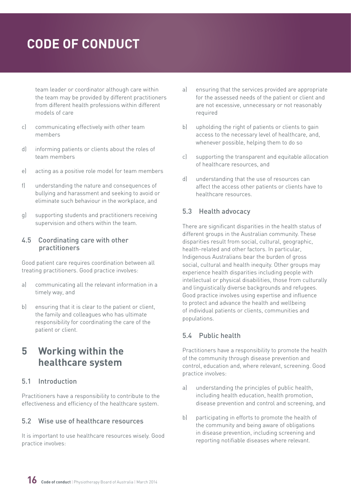<span id="page-15-0"></span>team leader or coordinator although care within the team may be provided by different practitioners from different health professions within different models of care

- c) communicating effectively with other team members
- d) informing patients or clients about the roles of team members
- e) acting as a positive role model for team members
- f) understanding the nature and consequences of bullying and harassment and seeking to avoid or eliminate such behaviour in the workplace, and
- g) supporting students and practitioners receiving supervision and others within the team.

#### 4.5 Coordinating care with other practitioners

Good patient care requires coordination between all treating practitioners. Good practice involves:

- a) communicating all the relevant information in a timely way, and
- b) ensuring that it is clear to the patient or client, the family and colleagues who has ultimate responsibility for coordinating the care of the patient or client.

# **5 Working within the healthcare system**

### 5.1 Introduction

Practitioners have a responsibility to contribute to the effectiveness and efficiency of the healthcare system.

#### 5.2 Wise use of healthcare resources

It is important to use healthcare resources wisely. Good practice involves:

- a) ensuring that the services provided are appropriate for the assessed needs of the patient or client and are not excessive, unnecessary or not reasonably required
- b) upholding the right of patients or clients to gain access to the necessary level of healthcare, and, whenever possible, helping them to do so
- c) supporting the transparent and equitable allocation of healthcare resources, and
- d) understanding that the use of resources can affect the access other patients or clients have to healthcare resources.

### 5.3 Health advocacy

There are significant disparities in the health status of different groups in the Australian community. These disparities result from social, cultural, geographic, health-related and other factors. In particular, Indigenous Australians bear the burden of gross social, cultural and health inequity. Other groups may experience health disparities including people with intellectual or physical disabilities, those from culturally and linguistically diverse backgrounds and refugees. Good practice involves using expertise and influence to protect and advance the health and wellbeing of individual patients or clients, communities and populations.

### 5.4 Public health

Practitioners have a responsibility to promote the health of the community through disease prevention and control, education and, where relevant, screening. Good practice involves:

- a) understanding the principles of public health, including health education, health promotion, disease prevention and control and screening, and
- b) participating in efforts to promote the health of the community and being aware of obligations in disease prevention, including screening and reporting notifiable diseases where relevant.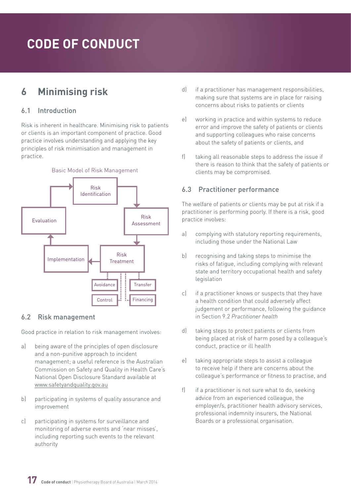# <span id="page-16-0"></span>**6 Minimising risk**

## 6.1 Introduction

Risk is inherent in healthcare. Minimising risk to patients or clients is an important component of practice. Good practice involves understanding and applying the key principles of risk minimisation and management in practice.



### 6.2 Risk management

Good practice in relation to risk management involves:

- a) being aware of the principles of open disclosure and a non-punitive approach to incident management; a useful reference is the Australian Commission on Safety and Quality in Health Care's National Open Disclosure Standard available at [www.safetyandquality.gov.au](file:///C:\Users\helen\AppData\Local\Microsoft\Windows\Temporary Internet Files\Content.Outlook\LLROZHLU\Early and multiple versions\www.safetyandquality.gov.au)
- b) participating in systems of quality assurance and improvement
- c) participating in systems for surveillance and monitoring of adverse events and 'near misses', including reporting such events to the relevant authority
- d) if a practitioner has management responsibilities, making sure that systems are in place for raising concerns about risks to patients or clients
- e) working in practice and within systems to reduce error and improve the safety of patients or clients and supporting colleagues who raise concerns about the safety of patients or clients, and
- f) taking all reasonable steps to address the issue if there is reason to think that the safety of patients or clients may be compromised.

# 6.3 Practitioner performance

The welfare of patients or clients may be put at risk if a practitioner is performing poorly. If there is a risk, good practice involves:

- a) complying with statutory reporting requirements, including those under the National Law
- b) recognising and taking steps to minimise the risks of fatigue, including complying with relevant state and territory occupational health and safety legislation
- c) if a practitioner knows or suspects that they have a health condition that could adversely affect judgement or performance, following the guidance in Section 9.2 *Practitioner health*
- d) taking steps to protect patients or clients from being placed at risk of harm posed by a colleague's conduct, practice or ill health
- e) taking appropriate steps to assist a colleague to receive help if there are concerns about the colleague's performance or fitness to practise, and
- f) if a practitioner is not sure what to do, seeking advice from an experienced colleague, the employer/s, practitioner health advisory services, professional indemnity insurers, the National Boards or a professional organisation.

**17 Code of conduct** | Physiotherapy Board of Australia | March 2014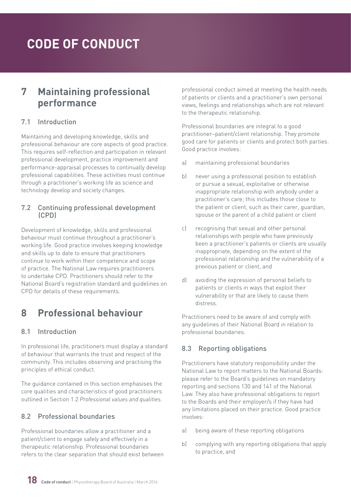# <span id="page-17-0"></span>**7 Maintaining professional performance**

### 7.1 Introduction

Maintaining and developing knowledge, skills and professional behaviour are core aspects of good practice. This requires self-reflection and participation in relevant professional development, practice improvement and performance-appraisal processes to continually develop professional capabilities. These activities must continue through a practitioner's working life as science and technology develop and society changes.

#### 7.2 Continuing professional development (CPD)

Development of knowledge, skills and professional behaviour must continue throughout a practitioner's working life. Good practice involves keeping knowledge and skills up to date to ensure that practitioners continue to work within their competence and scope of practice. The National Law requires practitioners to undertake CPD. Practitioners should refer to the National Board's registration standard and guidelines on CPD for details of these requirements.

# **8 Professional behaviour**

### 8.1 Introduction

In professional life, practitioners must display a standard of behaviour that warrants the trust and respect of the community. This includes observing and practising the principles of ethical conduct.

The guidance contained in this section emphasises the core qualities and characteristics of good practitioners outlined in Section 1.2 *Professional values and qualities*.

# 8.2 Professional boundaries

Professional boundaries allow a practitioner and a patient/client to engage safely and effectively in a therapeutic relationship. Professional boundaries refers to the clear separation that should exist between professional conduct aimed at meeting the health needs of patients or clients and a practitioner's own personal views, feelings and relationships which are not relevant to the therapeutic relationship.

Professional boundaries are integral to a good practitioner–patient/client relationship. They promote good care for patients or clients and protect both parties. Good practice involves:

- a) maintaining professional boundaries
- b) never using a professional position to establish or pursue a sexual, exploitative or otherwise inappropriate relationship with anybody under a practitioner's care; this includes those close to the patient or client, such as their carer, guardian, spouse or the parent of a child patient or client
- c) recognising that sexual and other personal relationships with people who have previously been a practitioner's patients or clients are usually inappropriate, depending on the extent of the professional relationship and the vulnerability of a previous patient or client, and
- d) avoiding the expression of personal beliefs to patients or clients in ways that exploit their vulnerability or that are likely to cause them distress.

Practitioners need to be aware of and comply with any guidelines of their National Board in relation to professional boundaries.

# 8.3 Reporting obligations

Practitioners have statutory responsibility under the National Law to report matters to the National Boards: please refer to the Board's guidelines on mandatory reporting and sections 130 and 141 of the National Law. They also have professional obligations to report to the Boards and their employer/s if they have had any limitations placed on their practice. Good practice involves:

- a) being aware of these reporting obligations
- b) complying with any reporting obligations that apply to practice, and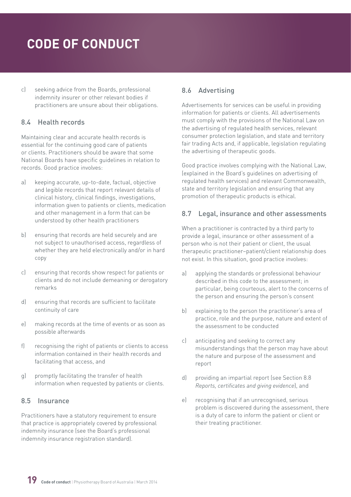<span id="page-18-0"></span>c) seeking advice from the Boards, professional indemnity insurer or other relevant bodies if practitioners are unsure about their obligations.

## 8.4 Health records

Maintaining clear and accurate health records is essential for the continuing good care of patients or clients. Practitioners should be aware that some National Boards have specific guidelines in relation to records. Good practice involves:

- a) keeping accurate, up-to-date, factual, objective and legible records that report relevant details of clinical history, clinical findings, investigations, information given to patients or clients, medication and other management in a form that can be understood by other health practitioners
- b) ensuring that records are held securely and are not subject to unauthorised access, regardless of whether they are held electronically and/or in hard copy
- c) ensuring that records show respect for patients or clients and do not include demeaning or derogatory remarks
- d) ensuring that records are sufficient to facilitate continuity of care
- e) making records at the time of events or as soon as possible afterwards
- f) recognising the right of patients or clients to access information contained in their health records and facilitating that access, and
- g) promptly facilitating the transfer of health information when requested by patients or clients.

### 8.5 Insurance

Practitioners have a statutory requirement to ensure that practice is appropriately covered by professional indemnity insurance (see the Board's professional indemnity insurance registration standard).

# 8.6 Advertising

Advertisements for services can be useful in providing information for patients or clients. All advertisements must comply with the provisions of the National Law on the advertising of regulated health services, relevant consumer protection legislation, and state and territory fair trading Acts and, if applicable, legislation regulating the advertising of therapeutic goods.

Good practice involves complying with the National Law, (explained in the Board's guidelines on advertising of regulated health services) and relevant Commonwealth, state and territory legislation and ensuring that any promotion of therapeutic products is ethical.

## 8.7 Legal, insurance and other assessments

When a practitioner is contracted by a third party to provide a legal, insurance or other assessment of a person who is not their patient or client, the usual therapeutic practitioner–patient/client relationship does not exist. In this situation, good practice involves:

- a) applying the standards or professional behaviour described in this code to the assessment; in particular, being courteous, alert to the concerns of the person and ensuring the person's consent
- b) explaining to the person the practitioner's area of practice, role and the purpose, nature and extent of the assessment to be conducted
- c) anticipating and seeking to correct any misunderstandings that the person may have about the nature and purpose of the assessment and report
- d) providing an impartial report (see Section 8.8 *Reports, certificates and giving evidence*), and
- e) recognising that if an unrecognised, serious problem is discovered during the assessment, there is a duty of care to inform the patient or client or their treating practitioner.

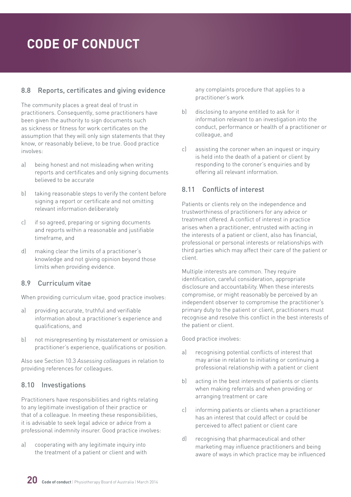## <span id="page-19-0"></span>8.8 Reports, certificates and giving evidence

The community places a great deal of trust in practitioners. Consequently, some practitioners have been given the authority to sign documents such as sickness or fitness for work certificates on the assumption that they will only sign statements that they know, or reasonably believe, to be true. Good practice involves:

- a) being honest and not misleading when writing reports and certificates and only signing documents believed to be accurate
- b) taking reasonable steps to verify the content before signing a report or certificate and not omitting relevant information deliberately
- c) if so agreed, preparing or signing documents and reports within a reasonable and justifiable timeframe, and
- d) making clear the limits of a practitioner's knowledge and not giving opinion beyond those limits when providing evidence.

### 8.9 Curriculum vitae

When providing curriculum vitae, good practice involves:

- a) providing accurate, truthful and verifiable information about a practitioner's experience and qualifications, and
- b) not misrepresenting by misstatement or omission a practitioner's experience, qualifications or position.

Also see Section 10.3 *Assessing colleagues* in relation to providing references for colleagues.

# 8.10 Investigations

Practitioners have responsibilities and rights relating to any legitimate investigation of their practice or that of a colleague. In meeting these responsibilities, it is advisable to seek legal advice or advice from a professional indemnity insurer. Good practice involves:

a) cooperating with any legitimate inquiry into the treatment of a patient or client and with any complaints procedure that applies to a practitioner's work

- b) disclosing to anyone entitled to ask for it information relevant to an investigation into the conduct, performance or health of a practitioner or colleague, and
- c) assisting the coroner when an inquest or inquiry is held into the death of a patient or client by responding to the coroner's enquiries and by offering all relevant information.

# 8.11 Conflicts of interest

Patients or clients rely on the independence and trustworthiness of practitioners for any advice or treatment offered. A conflict of interest in practice arises when a practitioner, entrusted with acting in the interests of a patient or client, also has financial, professional or personal interests or relationships with third parties which may affect their care of the patient or client.

Multiple interests are common. They require identification, careful consideration, appropriate disclosure and accountability. When these interests compromise, or might reasonably be perceived by an independent observer to compromise the practitioner's primary duty to the patient or client, practitioners must recognise and resolve this conflict in the best interests of the patient or client.

- a) recognising potential conflicts of interest that may arise in relation to initiating or continuing a professional relationship with a patient or client
- b) acting in the best interests of patients or clients when making referrals and when providing or arranging treatment or care
- c) informing patients or clients when a practitioner has an interest that could affect or could be perceived to affect patient or client care
- d) recognising that pharmaceutical and other marketing may influence practitioners and being aware of ways in which practice may be influenced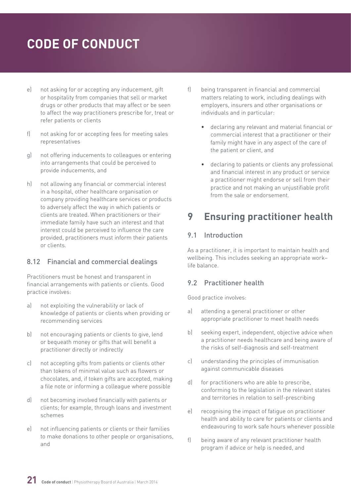- <span id="page-20-0"></span>e) not asking for or accepting any inducement, gift or hospitality from companies that sell or market drugs or other products that may affect or be seen to affect the way practitioners prescribe for, treat or refer patients or clients
- f) not asking for or accepting fees for meeting sales representatives
- g) not offering inducements to colleagues or entering into arrangements that could be perceived to provide inducements, and
- h) not allowing any financial or commercial interest in a hospital, other healthcare organisation or company providing healthcare services or products to adversely affect the way in which patients or clients are treated. When practitioners or their immediate family have such an interest and that interest could be perceived to influence the care provided, practitioners must inform their patients or clients.

### 8.12 Financial and commercial dealings

Practitioners must be honest and transparent in financial arrangements with patients or clients. Good practice involves:

- a) not exploiting the vulnerability or lack of knowledge of patients or clients when providing or recommending services
- b) not encouraging patients or clients to give, lend or bequeath money or gifts that will benefit a practitioner directly or indirectly
- c) not accepting gifts from patients or clients other than tokens of minimal value such as flowers or chocolates, and, if token gifts are accepted, making a file note or informing a colleague where possible
- d) not becoming involved financially with patients or clients; for example, through loans and investment schemes
- e) not influencing patients or clients or their families to make donations to other people or organisations, and
- f) being transparent in financial and commercial matters relating to work, including dealings with employers, insurers and other organisations or individuals and in particular:
	- declaring any relevant and material financial or commercial interest that a practitioner or their family might have in any aspect of the care of the patient or client, and
	- declaring to patients or clients any professional and financial interest in any product or service a practitioner might endorse or sell from their practice and not making an unjustifiable profit from the sale or endorsement.

# **9 Ensuring practitioner health**

## 9.1 Introduction

As a practitioner, it is important to maintain health and wellbeing. This includes seeking an appropriate work– life balance.

### 9.2 Practitioner health

- a) attending a general practitioner or other appropriate practitioner to meet health needs
- b) seeking expert, independent, objective advice when a practitioner needs healthcare and being aware of the risks of self-diagnosis and self-treatment
- c) understanding the principles of immunisation against communicable diseases
- d) for practitioners who are able to prescribe, conforming to the legislation in the relevant states and territories in relation to self-prescribing
- e) recognising the impact of fatigue on practitioner health and ability to care for patients or clients and endeavouring to work safe hours whenever possible
- f) being aware of any relevant practitioner health program if advice or help is needed, and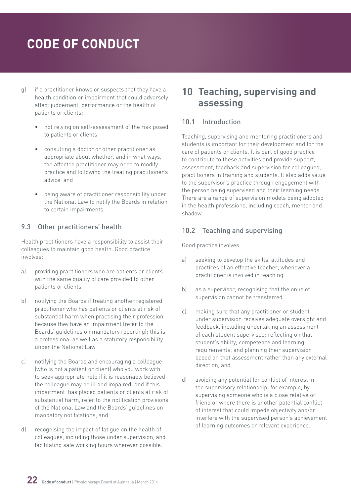- <span id="page-21-0"></span>g) if a practitioner knows or suspects that they have a health condition or impairment that could adversely affect judgement, performance or the health of patients or clients:
	- not relying on self-assessment of the risk posed to patients or clients
	- consulting a doctor or other practitioner as appropriate about whether, and in what ways, the affected practitioner may need to modify practice and following the treating practitioner's advice, and
	- being aware of practitioner responsibility under the National Law to notify the Boards in relation to certain impairments.

#### 9.3 Other practitioners' health

Health practitioners have a responsibility to assist their colleagues to maintain good health. Good practice involves:

- a) providing practitioners who are patients or clients with the same quality of care provided to other patients or clients
- b) notifying the Boards if treating another registered practitioner who has patients or clients at risk of substantial harm when practising their profession because they have an impairment (refer to the Boards' guidelines on mandatory reporting); this is a professional as well as a statutory responsibility under the National Law
- c) notifying the Boards and encouraging a colleague (who is not a patient or client) who you work with to seek appropriate help if it is reasonably believed the colleague may be ill and impaired; and if this impairment has placed patients or clients at risk of substantial harm, refer to the notification provisions of the National Law and the Boards' guidelines on mandatory notifications, and
- d) recognising the impact of fatigue on the health of colleagues, including those under supervision, and facilitating safe working hours wherever possible.

# **10 Teaching, supervising and assessing**

#### 10.1 Introduction

Teaching, supervising and mentoring practitioners and students is important for their development and for the care of patients or clients. It is part of good practice to contribute to these activities and provide support, assessment, feedback and supervision for colleagues, practitioners in training and students. It also adds value to the supervisor's practice through engagement with the person being supervised and their learning needs. There are a range of supervision models being adopted in the health professions, including coach, mentor and shadow.

#### 10.2 Teaching and supervising

- a) seeking to develop the skills, attitudes and practices of an effective teacher, whenever a practitioner is involved in teaching
- b) as a supervisor, recognising that the onus of supervision cannot be transferred
- c) making sure that any practitioner or student under supervision receives adequate oversight and feedback, including undertaking an assessment of each student supervised; reflecting on that student's ability, competence and learning requirements; and planning their supervision based on that assessment rather than any external direction, and
- d) avoiding any potential for conflict of interest in the supervisory relationship; for example, by supervising someone who is a close relative or friend or where there is another potential conflict of interest that could impede objectivity and/or interfere with the supervised person's achievement of learning outcomes or relevant experience.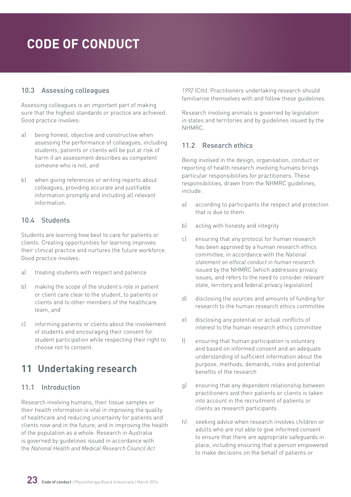## <span id="page-22-0"></span>10.3 Assessing colleagues

Assessing colleagues is an important part of making sure that the highest standards or practice are achieved. Good practice involves:

- a) being honest, objective and constructive when assessing the performance of colleagues, including students; patients or clients will be put at risk of harm if an assessment describes as competent someone who is not, and
- b) when giving references or writing reports about colleagues, providing accurate and justifiable information promptly and including all relevant information.

### 10.4 Students

Students are learning how best to care for patients or clients. Creating opportunities for learning improves their clinical practice and nurtures the future workforce. Good practice involves:

- a) treating students with respect and patience
- b) making the scope of the student's role in patient or client care clear to the student, to patients or clients and to other members of the healthcare team, and
- c) informing patients or clients about the involvement of students and encouraging their consent for student participation while respecting their right to choose not to consent.

# **11 Undertaking research**

### 11.1 Introduction

Research involving humans, their tissue samples or their health information is vital in improving the quality of healthcare and reducing uncertainty for patients and clients now and in the future, and in improving the health of the population as a whole. Research in Australia is governed by guidelines issued in accordance with the *National Health and Medical Research Council Act* 

*1992* (Cth). Practitioners undertaking research should familiarise themselves with and follow these guidelines.

Research involving animals is governed by legislation in states and territories and by guidelines issued by the NHMRC.

## 11.2 Research ethics

Being involved in the design, organisation, conduct or reporting of health research involving humans brings particular responsibilities for practitioners. These responsibilities, drawn from the NHMRC guidelines, include:

- a) according to participants the respect and protection that is due to them
- b) acting with honesty and integrity
- c) ensuring that any protocol for human research has been approved by a human research ethics committee, in accordance with the *National statement on ethical conduct in human research* issued by the NHMRC (which addresses privacy issues, and refers to the need to consider relevant state, territory and federal privacy legislation)
- d) disclosing the sources and amounts of funding for research to the human research ethics committee
- e) disclosing any potential or actual conflicts of interest to the human research ethics committee
- f) ensuring that human participation is voluntary and based on informed consent and an adequate understanding of sufficient information about the purpose, methods, demands, risks and potential benefits of the research
- g) ensuring that any dependent relationship between practitioners and their patients or clients is taken into account in the recruitment of patients or clients as research participants
- h) seeking advice when research involves children or adults who are not able to give informed consent to ensure that there are appropriate safeguards in place, including ensuring that a person empowered to make decisions on the behalf of patients or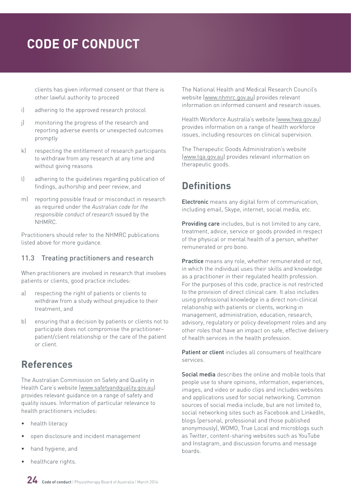<span id="page-23-0"></span>clients has given informed consent or that there is other lawful authority to proceed

- i) adhering to the approved research protocol
- j) monitoring the progress of the research and reporting adverse events or unexpected outcomes promptly
- k) respecting the entitlement of research participants to withdraw from any research at any time and without giving reasons
- l) adhering to the guidelines regarding publication of findings, authorship and peer review, and
- m) reporting possible fraud or misconduct in research as required under the *Australian code for the responsible conduct of research* issued by the NHMRC.

Practitioners should refer to the NHMRC publications listed above for more guidance.

### 11.3 Treating practitioners and research

When practitioners are involved in research that involves patients or clients, good practice includes:

- a) respecting the right of patients or clients to withdraw from a study without prejudice to their treatment, and
- b) ensuring that a decision by patients or clients not to participate does not compromise the practitioner– patient/client relationship or the care of the patient or client.

# **References**

The Australian Commission on Safety and Quality in Health Care's website ([www.safetyandquality.gov.au\)](http://www.safetyandquality.gov.au) provides relevant guidance on a range of safety and quality issues. Information of particular relevance to health practitioners includes:

- health literacy
- open disclosure and incident management
- hand hygiene, and
- healthcare rights.

The National Health and Medical Research Council's website [\(www.nhmrc.gov.au\)](http://www.nhmrc.gov.au) provides relevant information on informed consent and research issues.

Health Workforce Australia's website [\(www.hwa.gov.au\)](http://www.hwa.gov.au) provides information on a range of health workforce issues, including resources on clinical supervision.

The Therapeutic Goods Administration's website [\(www.tga.gov.au\)](http://www.tga.gov.au) provides relevant information on therapeutic goods.

# **Definitions**

Electronic means any digital form of communication, including email, Skype, internet, social media, etc.

Providing care includes, but is not limited to any care, treatment, advice, service or goods provided in respect of the physical or mental health of a person, whether remunerated or pro bono.

Practice means any role, whether remunerated or not, in which the individual uses their skills and knowledge as a practitioner in their regulated health profession. For the purposes of this code, practice is not restricted to the provision of direct clinical care. It also includes using professional knowledge in a direct non-clinical relationship with patients or clients, working in management, administration, education, research, advisory, regulatory or policy development roles and any other roles that have an impact on safe, effective delivery of health services in the health profession.

Patient or client includes all consumers of healthcare services.

Social media describes the online and mobile tools that people use to share opinions, information, experiences, images, and video or audio clips and includes websites and applications used for social networking. Common sources of social media include, but are not limited to, social networking sites such as Facebook and LinkedIn. blogs (personal, professional and those published anonymously), WOMO, True Local and microblogs such as Twitter, content-sharing websites such as YouTube and Instagram, and discussion forums and message boards.